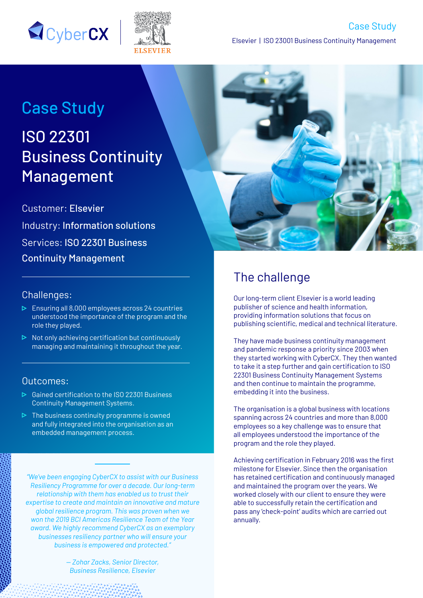



# Case Study

# ISO 22301 Business Continuity **Management**

Customer: Elsevier Industry: Information solutions Services: ISO 22301 Business Continuity Management

#### Challenges:

- $\triangleright$  Ensuring all 8,000 employees across 24 countries understood the importance of the program and the role they played.
- $\triangleright$  Not only achieving certification but continuously managing and maintaining it throughout the year.

#### Outcomes:

- Gained certification to the ISO 22301 Business Continuity Management Systems.
- $\triangleright$  The business continuity programme is owned and fully integrated into the organisation as an embedded management process.

*"We've been engaging CyberCX to assist with our Business Resiliency Programme for over a decade. Our long-term relationship with them has enabled us to trust their expertise to create and maintain an innovative and mature global resilience program. This was proven when we won the 2019 BCI Americas Resilience Team of the Year award. We highly recommend CyberCX as an exemplary businesses resiliency partner who will ensure your business is empowered and protected."*

> *— Zohar Zacks, Senior Director, Business Resilience, Elsevier*



## The challenge

Our long-term client Elsevier is a world leading publisher of science and health information, providing information solutions that focus on publishing scientific, medical and technical literature.

They have made business continuity management and pandemic response a priority since 2003 when they started working with CyberCX. They then wanted to take it a step further and gain certification to ISO 22301 Business Continuity Management Systems and then continue to maintain the programme, embedding it into the business.

The organisation is a global business with locations spanning across 24 countries and more than 8,000 employees so a key challenge was to ensure that all employees understood the importance of the program and the role they played.

Achieving certification in February 2016 was the first milestone for Elsevier. Since then the organisation has retained certification and continuously managed and maintained the program over the years. We worked closely with our client to ensure they were able to successfully retain the certification and pass any 'check-point' audits which are carried out annually.